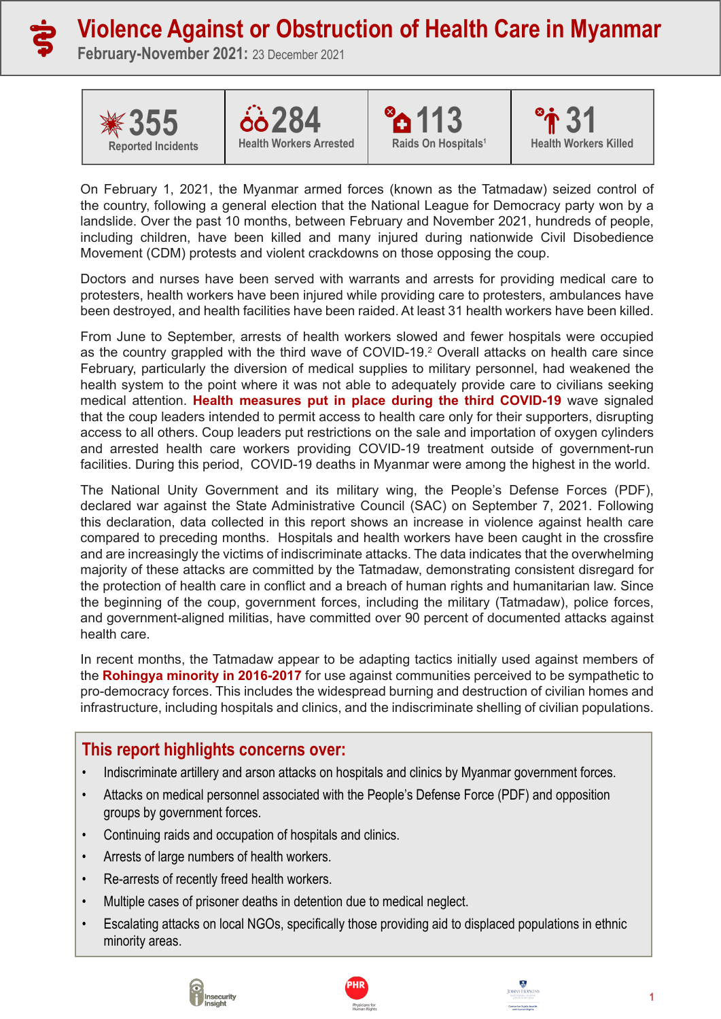

# **Violence Against or Obstruction of Health Care in Myanmar**

**February-November 2021:** 23 December 2021









On February 1, 2021, the Myanmar armed forces (known as the Tatmadaw) seized control of the country, following a general election that the National League for Democracy party won by a landslide. Over the past 10 months, between February and November 2021, hundreds of people, including children, have been killed and many injured during nationwide Civil Disobedience Movement (CDM) protests and violent crackdowns on those opposing the coup.

Doctors and nurses have been served with warrants and arrests for providing medical care to protesters, health workers have been injured while providing care to protesters, ambulances have been destroyed, and health facilities have been raided. At least 31 health workers have been killed.

From June to September, arrests of health workers slowed and fewer hospitals were occupied as the country grappled with the third wave of COVID-19.<sup>2</sup> Overall attacks on health care since February, particularly the diversion of medical supplies to military personnel, had weakened the health system to the point where it was not able to adequately provide care to civilians seeking medical attention. **[Health measures put in place during the third COVID-19](https://shcc.pub/MyanmarHealthOct)** wave signaled that the coup leaders intended to permit access to health care only for their supporters, disrupting access to all others. Coup leaders put restrictions on the sale and importation of oxygen cylinders and arrested health care workers providing COVID-19 treatment outside of government-run facilities. During this period, COVID-19 deaths in Myanmar were among the highest in the world.

The National Unity Government and its military wing, the People's Defense Forces (PDF), declared war against the State Administrative Council (SAC) on September 7, 2021. Following this declaration, data collected in this report shows an increase in violence against health care compared to preceding months. Hospitals and health workers have been caught in the crossfire and are increasingly the victims of indiscriminate attacks. The data indicates that the overwhelming majority of these attacks are committed by the Tatmadaw, demonstrating consistent disregard for the protection of health care in conflict and a breach of human rights and humanitarian law. Since the beginning of the coup, government forces, including the military (Tatmadaw), police forces, and government-aligned militias, have committed over 90 percent of documented attacks against health care.

In recent months, the Tatmadaw appear to be adapting tactics initially used against members of the **[Rohingya minority in 2016-2017](https://www.ohchr.org/EN/NewsEvents/Pages/DisplayNews.aspx?LangID=E&NewsID=27693)** for use against communities perceived to be sympathetic to pro-democracy forces. This includes the widespread burning and destruction of civilian homes and infrastructure, including hospitals and clinics, and the indiscriminate shelling of civilian populations.

## **This report highlights concerns over:**

- Indiscriminate artillery and arson attacks on hospitals and clinics by Myanmar government forces.
- Attacks on medical personnel associated with the People's Defense Force (PDF) and opposition groups by government forces.
- Continuing raids and occupation of hospitals and clinics.
- Arrests of large numbers of health workers.
- Re-arrests of recently freed health workers.
- Multiple cases of prisoner deaths in detention due to medical neglect.
- Escalating attacks on local NGOs, specifically those providing aid to displaced populations in ethnic minority areas.





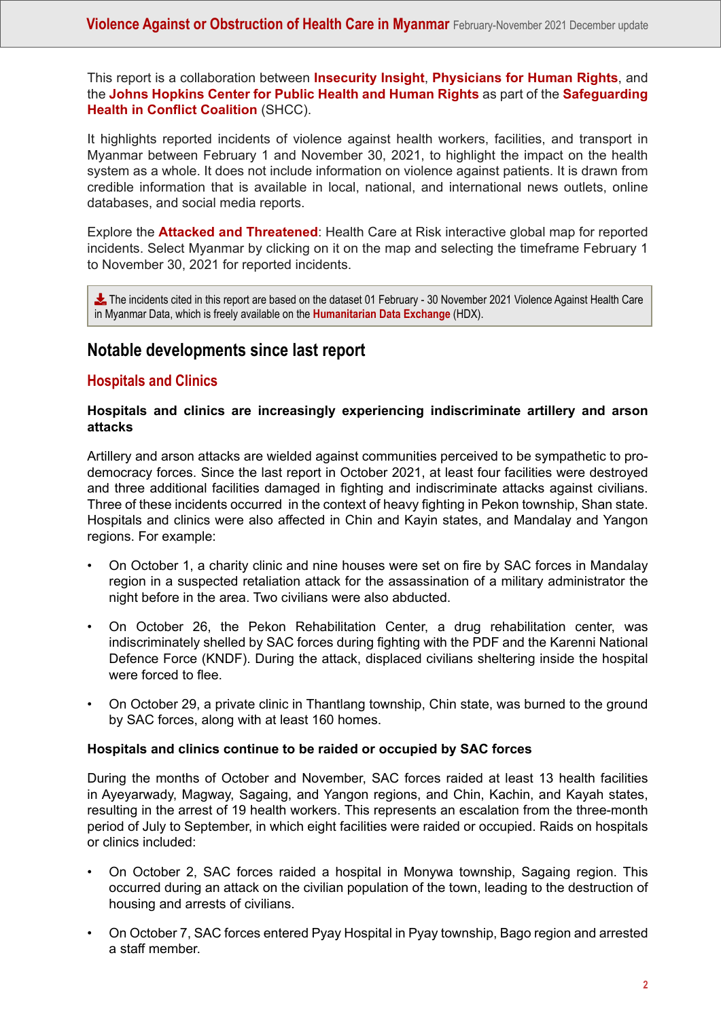This report is a collaboration between **[Insecurity Insight](http://insecurityinsight.org)**, **[Physicians for Human Rights](https://phr.org/)**, and the **[Johns Hopkins Center for Public Health and Human Rights](https://www.jhsph.edu/research/centers-and-institutes/center-for-public-health-and-human-rights/)** as part of the **[Safeguarding](https://www.safeguardinghealth.org/) [Health in Conflict Coalition](https://www.safeguardinghealth.org/)** (SHCC).

It highlights reported incidents of violence against health workers, facilities, and transport in Myanmar between February 1 and November 30, 2021, to highlight the impact on the health system as a whole. It does not include information on violence against patients. It is drawn from credible information that is available in local, national, and international news outlets, online databases, and social media reports.

Explore the **[Attacked and Threatened](https://map.insecurityinsight.org/health)**: Health Care at Risk interactive global map for reported incidents. Select Myanmar by clicking on it on the map and selecting the timeframe February 1 to November 30, 2021 for reported incidents.

**L** The incidents cited in this report are based on the dataset 01 February - 30 November 2021 Violence Against Health Care in Myanmar Data, which is freely available on the **[Humanitarian Data Exchange](https://data.humdata.org/dataset/myanmar-attacks-on-aid-operations-education-health-and-protection)** (HDX).

## **Notable developments since last report**

#### **Hospitals and Clinics**

#### **Hospitals and clinics are increasingly experiencing indiscriminate artillery and arson attacks**

Artillery and arson attacks are wielded against communities perceived to be sympathetic to prodemocracy forces. Since the last report in October 2021, at least four facilities were destroyed and three additional facilities damaged in fighting and indiscriminate attacks against civilians. Three of these incidents occurred in the context of heavy fighting in Pekon township, Shan state. Hospitals and clinics were also affected in Chin and Kayin states, and Mandalay and Yangon regions. For example:

- On October 1, a charity clinic and nine houses were set on fire by SAC forces in Mandalay region in a suspected retaliation attack for the assassination of a military administrator the night before in the area. Two civilians were also abducted.
- On October 26, the Pekon Rehabilitation Center, a drug rehabilitation center, was indiscriminately shelled by SAC forces during fighting with the PDF and the Karenni National Defence Force (KNDF). During the attack, displaced civilians sheltering inside the hospital were forced to flee.
- On October 29, a private clinic in Thantlang township, Chin state, was burned to the ground by SAC forces, along with at least 160 homes.

#### **Hospitals and clinics continue to be raided or occupied by SAC forces**

During the months of October and November, SAC forces raided at least 13 health facilities in Ayeyarwady, Magway, Sagaing, and Yangon regions, and Chin, Kachin, and Kayah states, resulting in the arrest of 19 health workers. This represents an escalation from the three-month period of July to September, in which eight facilities were raided or occupied. Raids on hospitals or clinics included:

- On October 2, SAC forces raided a hospital in Monywa township, Sagaing region. This occurred during an attack on the civilian population of the town, leading to the destruction of housing and arrests of civilians.
- On October 7, SAC forces entered Pyay Hospital in Pyay township, Bago region and arrested a staff member.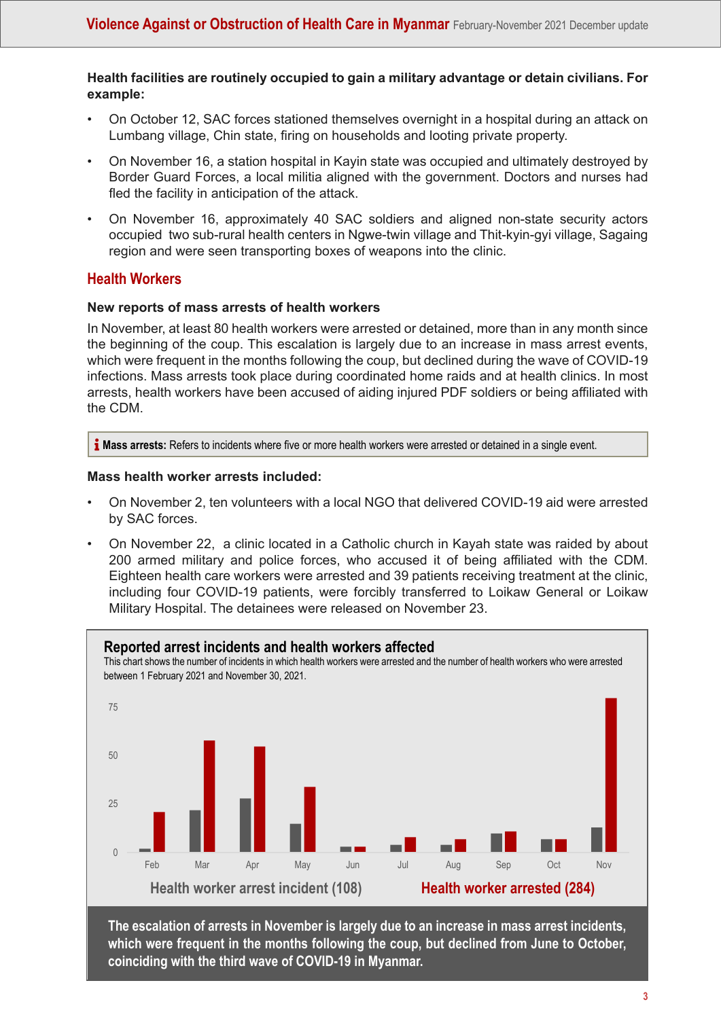#### **Health facilities are routinely occupied to gain a military advantage or detain civilians. For example:**

- On October 12, SAC forces stationed themselves overnight in a hospital during an attack on Lumbang village, Chin state, firing on households and looting private property.
- On November 16, a station hospital in Kayin state was occupied and ultimately destroyed by Border Guard Forces, a local militia aligned with the government. Doctors and nurses had fled the facility in anticipation of the attack.
- On November 16, approximately 40 SAC soldiers and aligned non-state security actors occupied two sub-rural health centers in Ngwe-twin village and Thit-kyin-gyi village, Sagaing region and were seen transporting boxes of weapons into the clinic.

### **Health Workers**

#### **New reports of mass arrests of health workers**

In November, at least 80 health workers were arrested or detained, more than in any month since the beginning of the coup. This escalation is largely due to an increase in mass arrest events, which were frequent in the months following the coup, but declined during the wave of COVID-19 infections. Mass arrests took place during coordinated home raids and at health clinics. In most arrests, health workers have been accused of aiding injured PDF soldiers or being affiliated with the CDM.

**I** Mass arrests: Refers to incidents where five or more health workers were arrested or detained in a single event.

#### **Mass health worker arrests included:**

- On November 2, ten volunteers with a local NGO that delivered COVID-19 aid were arrested by SAC forces.
- On November 22, a clinic located in a Catholic church in Kayah state was raided by about 200 armed military and police forces, who accused it of being affiliated with the CDM. Eighteen health care workers were arrested and 39 patients receiving treatment at the clinic, including four COVID-19 patients, were forcibly transferred to Loikaw General or Loikaw Military Hospital. The detainees were released on November 23.



**The escalation of arrests in November is largely due to an increase in mass arrest incidents, which were frequent in the months following the coup, but declined from June to October, coinciding with the third wave of COVID-19 in Myanmar.**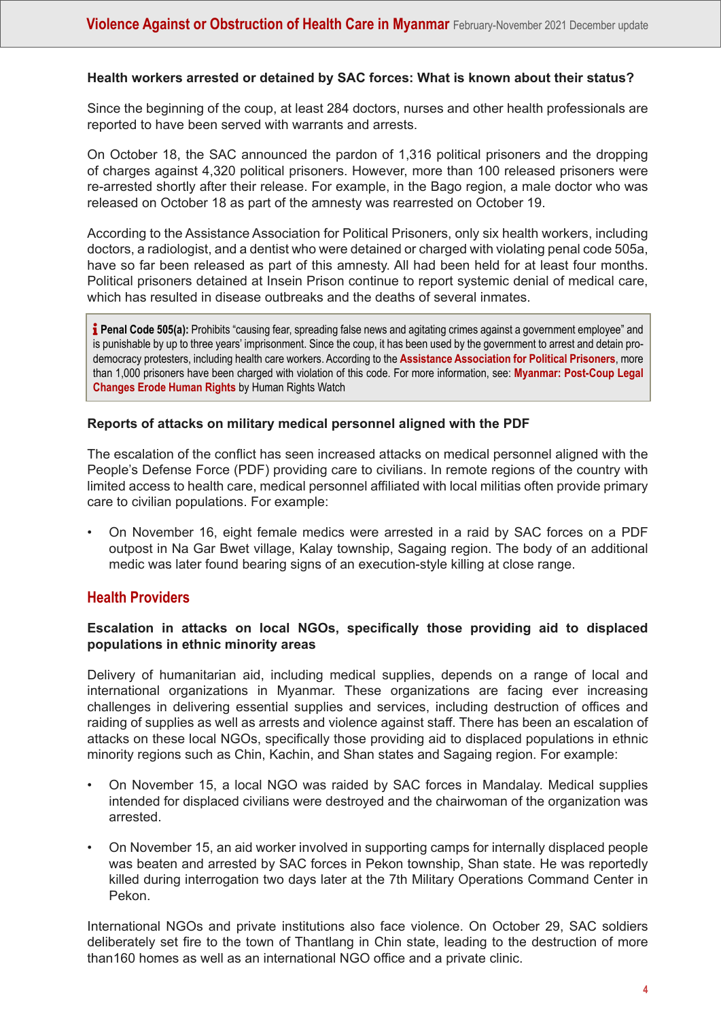#### **Health workers arrested or detained by SAC forces: What is known about their status?**

Since the beginning of the coup, at least 284 doctors, nurses and other health professionals are reported to have been served with warrants and arrests.

On October 18, the SAC announced the pardon of 1,316 political prisoners and the dropping of charges against 4,320 political prisoners. However, more than 100 released prisoners were re-arrested shortly after their release. For example, in the Bago region, a male doctor who was released on October 18 as part of the amnesty was rearrested on October 19.

According to the Assistance Association for Political Prisoners, only six health workers, including doctors, a radiologist, and a dentist who were detained or charged with violating penal code 505a, have so far been released as part of this amnesty. All had been held for at least four months. Political prisoners detained at Insein Prison continue to report systemic denial of medical care, which has resulted in disease outbreaks and the deaths of several inmates.

**i** Penal Code 505(a): Prohibits "causing fear, spreading false news and agitating crimes against a government employee" and is punishable by up to three years' imprisonment. Since the coup, it has been used by the government to arrest and detain prodemocracy protesters, including health care workers. According to the **[Assistance Association for Political Prisoners](https://aappb.org/wp-content/uploads/2021/12/Under-Detention-List-Last-Updated-on-15-December-2021.pdf)**, more than 1,000 prisoners have been charged with violation of this code. For more information, see: **[Myanmar: Post-Coup Legal](https://www.hrw.org/news/2021/03/02/myanmar-post-coup-legal-changes-erode-human-rights) [Changes Erode Human Rights](https://www.hrw.org/news/2021/03/02/myanmar-post-coup-legal-changes-erode-human-rights)** by Human Rights Watch

#### **Reports of attacks on military medical personnel aligned with the PDF**

The escalation of the conflict has seen increased attacks on medical personnel aligned with the People's Defense Force (PDF) providing care to civilians. In remote regions of the country with limited access to health care, medical personnel affiliated with local militias often provide primary care to civilian populations. For example:

• On November 16, eight female medics were arrested in a raid by SAC forces on a PDF outpost in Na Gar Bwet village, Kalay township, Sagaing region. The body of an additional medic was later found bearing signs of an execution-style killing at close range.

#### **Health Providers**

#### **Escalation in attacks on local NGOs, specifically those providing aid to displaced populations in ethnic minority areas**

Delivery of humanitarian aid, including medical supplies, depends on a range of local and international organizations in Myanmar. These organizations are facing ever increasing challenges in delivering essential supplies and services, including destruction of offices and raiding of supplies as well as arrests and violence against staff. There has been an escalation of attacks on these local NGOs, specifically those providing aid to displaced populations in ethnic minority regions such as Chin, Kachin, and Shan states and Sagaing region. For example:

- On November 15, a local NGO was raided by SAC forces in Mandalay. Medical supplies intended for displaced civilians were destroyed and the chairwoman of the organization was arrested.
- On November 15, an aid worker involved in supporting camps for internally displaced people was beaten and arrested by SAC forces in Pekon township, Shan state. He was reportedly killed during interrogation two days later at the 7th Military Operations Command Center in Pekon.

International NGOs and private institutions also face violence. On October 29, SAC soldiers deliberately set fire to the town of Thantlang in Chin state, leading to the destruction of more than160 homes as well as an international NGO office and a private clinic.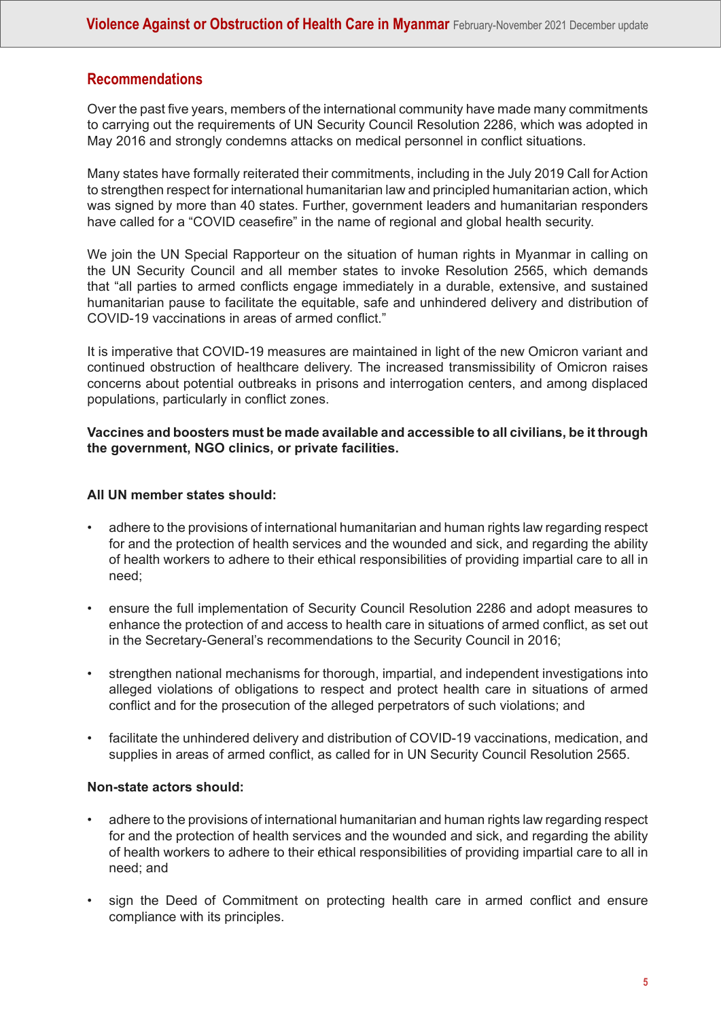## **Recommendations**

Over the past five years, members of the international community have made many commitments to carrying out the requirements of UN Security Council Resolution 2286, which was adopted in May 2016 and strongly condemns attacks on medical personnel in conflict situations.

Many states have formally reiterated their commitments, including in the July 2019 Call for Action to strengthen respect for international humanitarian law and principled humanitarian action, which was signed by more than 40 states. Further, government leaders and humanitarian responders have called for a "COVID ceasefire" in the name of regional and global health security.

We join the UN Special Rapporteur on the situation of human rights in Myanmar in calling on the UN Security Council and all member states to invoke Resolution 2565, which demands that "all parties to armed conflicts engage immediately in a durable, extensive, and sustained humanitarian pause to facilitate the equitable, safe and unhindered delivery and distribution of COVID-19 vaccinations in areas of armed conflict."

It is imperative that COVID-19 measures are maintained in light of the new Omicron variant and continued obstruction of healthcare delivery. The increased transmissibility of Omicron raises concerns about potential outbreaks in prisons and interrogation centers, and among displaced populations, particularly in conflict zones.

#### **Vaccines and boosters must be made available and accessible to all civilians, be it through the government, NGO clinics, or private facilities.**

#### **All UN member states should:**

- adhere to the provisions of international humanitarian and human rights law regarding respect for and the protection of health services and the wounded and sick, and regarding the ability of health workers to adhere to their ethical responsibilities of providing impartial care to all in need;
- ensure the full implementation of Security Council Resolution 2286 and adopt measures to enhance the protection of and access to health care in situations of armed conflict, as set out in the Secretary-General's recommendations to the Security Council in 2016;
- strengthen national mechanisms for thorough, impartial, and independent investigations into alleged violations of obligations to respect and protect health care in situations of armed conflict and for the prosecution of the alleged perpetrators of such violations; and
- facilitate the unhindered delivery and distribution of COVID-19 vaccinations, medication, and supplies in areas of armed conflict, as called for in UN Security Council Resolution 2565.

#### **Non-state actors should:**

- adhere to the provisions of international humanitarian and human rights law regarding respect for and the protection of health services and the wounded and sick, and regarding the ability of health workers to adhere to their ethical responsibilities of providing impartial care to all in need; and
- sign the Deed of Commitment on protecting health care in armed conflict and ensure compliance with its principles.